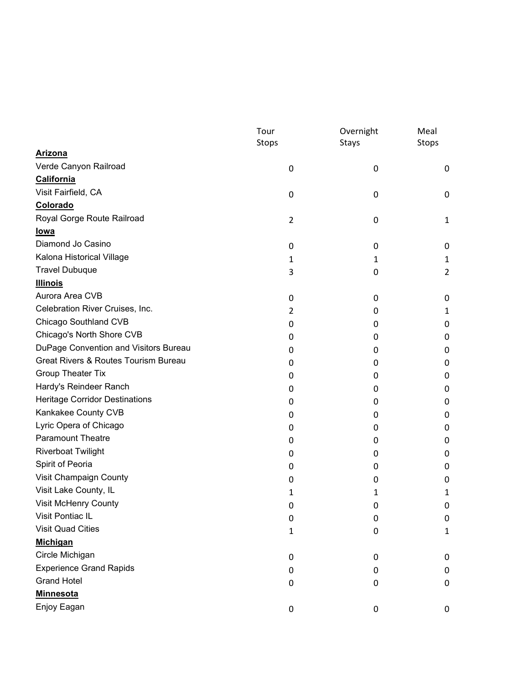## **DEPOSE BUTELE VÕO**

|                                       | Tour<br>Stops  | Overnight<br>Stays | Meal<br>Stops |
|---------------------------------------|----------------|--------------------|---------------|
| <b>Arizona</b>                        |                |                    |               |
| Verde Canyon Railroad                 | 0              | $\mathbf 0$        | $\mathbf 0$   |
| California                            |                |                    |               |
| Visit Fairfield, CA                   | 0              | 0                  | O             |
| Colorado                              |                |                    |               |
| Royal Gorge Route Railroad            | $\overline{2}$ | 0                  |               |
| <u>lowa</u>                           |                |                    |               |
| Diamond Jo Casino                     | 0              | 0                  | 0             |
| Kalona Historical Village             | 1              |                    |               |
| <b>Travel Dubuque</b>                 | 3              | 0                  | 2             |
| <b>Illinois</b>                       |                |                    |               |
| Aurora Area CVB                       | 0              | 0                  | 0             |
| Celebration River Cruises, Inc.       | $\overline{2}$ | O                  |               |
| Chicago Southland CVB                 | 0              | $\mathbf{0}$       | 0             |
| Chicago's North Shore CVB             | 0              | 0                  | 0             |
| DuPage Convention and Visitors Bureau | 0              | $\mathbf{0}$       | O             |
| Great Rivers & Routes Tourism Bureau  | 0              | 0                  | O             |
| <b>Group Theater Tix</b>              | 0              | O                  | O             |
| Hardy's Reindeer Ranch                | 0              | 0                  | 0             |
| <b>Heritage Corridor Destinations</b> | 0              | $\mathbf{0}$       | O             |
| Kankakee County CVB                   | 0              | 0                  | O             |
| Lyric Opera of Chicago                | 0              | O                  | O             |
| <b>Paramount Theatre</b>              | 0              | 0                  | 0             |
| <b>Riverboat Twilight</b>             | 0              | O                  | O             |
| Spirit of Peoria                      | 0              | 0                  | 0             |
| Visit Champaign County                | 0              | 0                  | 0             |
| Visit Lake County, IL                 |                |                    |               |
| Visit McHenry County                  | 0              | O                  | 0             |
| Visit Pontiac IL                      | 0              | $\boldsymbol{0}$   | $\mathbf 0$   |
| <b>Visit Quad Cities</b>              | 1              | 0                  |               |
| <b>Michigan</b>                       |                |                    |               |
| Circle Michigan                       | 0              | 0                  | $\mathbf{0}$  |
| <b>Experience Grand Rapids</b>        | 0              | 0                  | 0             |
| <b>Grand Hotel</b>                    | 0              | 0                  | 0             |
| <b>Minnesota</b>                      |                |                    |               |
| Enjoy Eagan                           | 0              | $\boldsymbol{0}$   | $\mathbf 0$   |

**FEBROIM** 购

ttp

 $\overline{1}$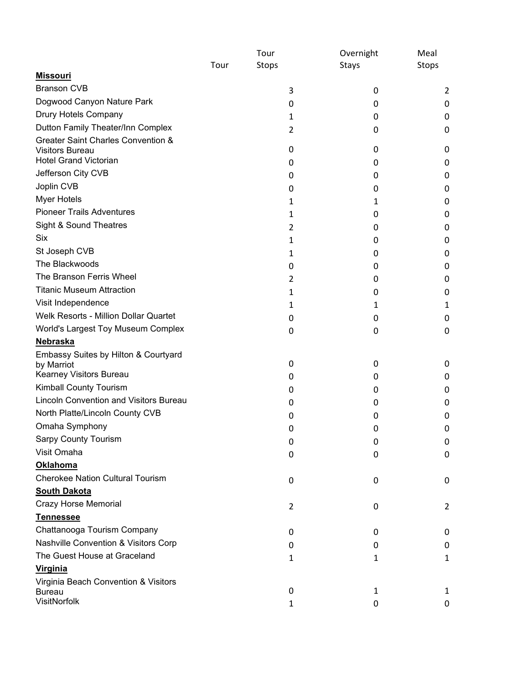|                                                        | Tour<br>Stops  | Overnight<br>Stays | Meal<br>Stops  |
|--------------------------------------------------------|----------------|--------------------|----------------|
|                                                        |                |                    |                |
| <b>Missouri</b>                                        |                |                    |                |
| <b>Branson CVB</b>                                     | 3              | 0                  | 2              |
| Dogwood Canyon Nature Park                             | 0              | 0                  | 0              |
| Drury Hotels Company                                   | 1              | 0                  | 0              |
| Dutton Family Theater/Inn Complex                      | $\overline{2}$ | 0                  | 0              |
| Greater Saint Charles Convention &                     |                |                    |                |
| <b>Visitors Bureau</b><br><b>Hotel Grand Victorian</b> | 0              | 0                  | 0              |
| Jefferson City CVB                                     | 0              | 0                  | 0              |
| Joplin CVB                                             | 0              | 0                  | 0              |
|                                                        | 0              | 0                  | 0              |
| <b>Myer Hotels</b><br><b>Pioneer Trails Adventures</b> | 1              | 1                  | 0              |
|                                                        | 1              | 0                  | 0              |
| Sight & Sound Theatres                                 | 2              | 0                  | 0              |
| <b>Six</b>                                             | 1              | 0                  | 0              |
| St Joseph CVB                                          | 1              | 0                  | 0              |
| The Blackwoods                                         | 0              | 0                  | 0              |
| The Branson Ferris Wheel                               | 2              | 0                  | 0              |
| <b>Titanic Museum Attraction</b>                       | 1              | 0                  | O              |
| Visit Independence                                     | 1              | 1                  | 1              |
| Welk Resorts - Million Dollar Quartet                  | 0              | 0                  | 0              |
| World's Largest Toy Museum Complex                     | 0              | 0                  | 0              |
| Nebraska                                               |                |                    |                |
| Embassy Suites by Hilton & Courtyard<br>by Marriot     | 0              | 0                  | 0              |
| Kearney Visitors Bureau                                | 0              | 0                  | 0              |
| Kimball County Tourism                                 | 0              | 0                  | 0              |
| <b>Lincoln Convention and Visitors Bureau</b>          | 0              | 0                  | 0              |
| North Platte/Lincoln County CVB                        | 0              | 0                  | O              |
| Omaha Symphony                                         | 0              | 0                  | 0              |
| <b>Sarpy County Tourism</b>                            | 0              | 0                  | 0              |
| Visit Omaha                                            |                |                    | 0              |
| <b>Oklahoma</b>                                        | 0              | 0                  |                |
| <b>Cherokee Nation Cultural Tourism</b>                |                | 0                  | 0              |
| <b>South Dakota</b>                                    | 0              |                    |                |
| <b>Crazy Horse Memorial</b>                            |                |                    | $\overline{2}$ |
| <b>Tennessee</b>                                       | 2              | 0                  |                |
| Chattanooga Tourism Company                            |                |                    |                |
| Nashville Convention & Visitors Corp                   | 0              | 0                  | 0              |
| The Guest House at Graceland                           | 0              | 0                  | 0              |
| <b>Virginia</b>                                        | 1              | 1                  | 1              |
| Virginia Beach Convention & Visitors                   |                |                    |                |
| <b>Bureau</b>                                          | 0              | 1                  | 1              |
| VisitNorfolk                                           | 1              | 0                  | 0              |

**Heritage Clubs International, LLC.** P.O. Box 363 – Waupaca, WI 54981 Phone (952) 835‐6543 ∙ Toll Free (877) 881‐0229 ∙ tina@heritageclubs.com